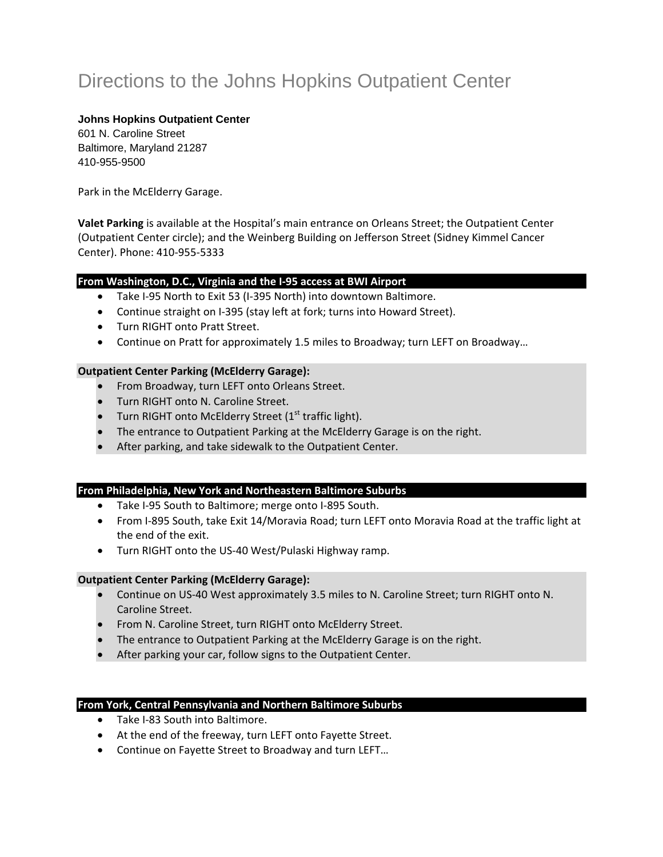# Directions to the Johns Hopkins Outpatient Center

### **Johns Hopkins Outpatient Center**

601 N. Caroline Street Baltimore, Maryland 21287 410-955-9500

Park in the McElderry Garage.

**Valet Parking** is available at the Hospital's main entrance on Orleans Street; the Outpatient Center (Outpatient Center circle); and the Weinberg Building on Jefferson Street (Sidney Kimmel Cancer Center). Phone: 410‐955‐5333

## **From Washington, D.C., Virginia and the I‐95 access at BWI Airport**

- Take I‐95 North to Exit 53 (I‐395 North) into downtown Baltimore.
- Continue straight on I-395 (stay left at fork; turns into Howard Street).
- Turn RIGHT onto Pratt Street.
- Continue on Pratt for approximately 1.5 miles to Broadway; turn LEFT on Broadway…

#### **Outpatient Center Parking (McElderry Garage):**

- From Broadway, turn LEFT onto Orleans Street.
- Turn RIGHT onto N. Caroline Street.
- Turn RIGHT onto McElderry Street ( $1<sup>st</sup>$  traffic light).
- The entrance to Outpatient Parking at the McElderry Garage is on the right.
- After parking, and take sidewalk to the Outpatient Center.

#### **From Philadelphia, New York and Northeastern Baltimore Suburbs**

- Take I‐95 South to Baltimore; merge onto I‐895 South.
- From I‐895 South, take Exit 14/Moravia Road; turn LEFT onto Moravia Road at the traffic light at the end of the exit.
- Turn RIGHT onto the US‐40 West/Pulaski Highway ramp.

#### **Outpatient Center Parking (McElderry Garage):**

- Continue on US‐40 West approximately 3.5 miles to N. Caroline Street; turn RIGHT onto N. Caroline Street.
- From N. Caroline Street, turn RIGHT onto McElderry Street.
- The entrance to Outpatient Parking at the McElderry Garage is on the right.
- After parking your car, follow signs to the Outpatient Center.

#### **From York, Central Pennsylvania and Northern Baltimore Suburbs**

- Take I-83 South into Baltimore.
- At the end of the freeway, turn LEFT onto Fayette Street.
- Continue on Fayette Street to Broadway and turn LEFT…